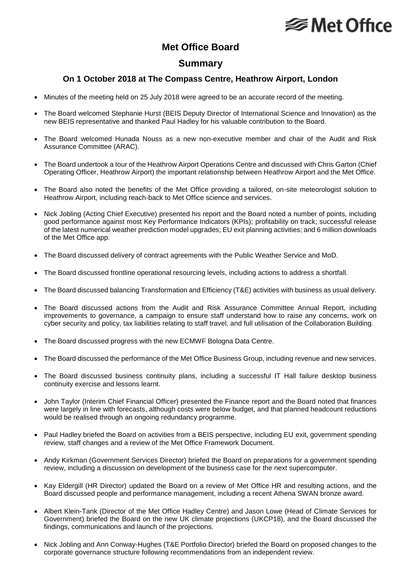# **⊗Met Office**

### **Met Office Board**

### **Summary**

#### **On 1 October 2018 at The Compass Centre, Heathrow Airport, London**

- Minutes of the meeting held on 25 July 2018 were agreed to be an accurate record of the meeting.
- The Board welcomed Stephanie Hurst (BEIS Deputy Director of International Science and Innovation) as the new BEIS representative and thanked Paul Hadley for his valuable contribution to the Board.
- The Board welcomed Hunada Nouss as a new non-executive member and chair of the Audit and Risk Assurance Committee (ARAC).
- The Board undertook a tour of the Heathrow Airport Operations Centre and discussed with Chris Garton (Chief Operating Officer, Heathrow Airport) the important relationship between Heathrow Airport and the Met Office.
- The Board also noted the benefits of the Met Office providing a tailored, on-site meteorologist solution to Heathrow Airport, including reach-back to Met Office science and services.
- Nick Jobling (Acting Chief Executive) presented his report and the Board noted a number of points, including good performance against most Key Performance Indicators (KPIs); profitability on track; successful release of the latest numerical weather prediction model upgrades; EU exit planning activities; and 6 million downloads of the Met Office app.
- The Board discussed delivery of contract agreements with the Public Weather Service and MoD.
- The Board discussed frontline operational resourcing levels, including actions to address a shortfall.
- The Board discussed balancing Transformation and Efficiency (T&E) activities with business as usual delivery.
- The Board discussed actions from the Audit and Risk Assurance Committee Annual Report, including improvements to governance, a campaign to ensure staff understand how to raise any concerns, work on cyber security and policy, tax liabilities relating to staff travel, and full utilisation of the Collaboration Building.
- The Board discussed progress with the new ECMWF Bologna Data Centre.
- The Board discussed the performance of the Met Office Business Group, including revenue and new services.
- The Board discussed business continuity plans, including a successful IT Hall failure desktop business continuity exercise and lessons learnt.
- John Taylor (Interim Chief Financial Officer) presented the Finance report and the Board noted that finances were largely in line with forecasts, although costs were below budget, and that planned headcount reductions would be realised through an ongoing redundancy programme.
- Paul Hadley briefed the Board on activities from a BEIS perspective, including EU exit, government spending review, staff changes and a review of the Met Office Framework Document.
- Andy Kirkman (Government Services Director) briefed the Board on preparations for a government spending review, including a discussion on development of the business case for the next supercomputer.
- Kay Eldergill (HR Director) updated the Board on a review of Met Office HR and resulting actions, and the Board discussed people and performance management, including a recent Athena SWAN bronze award.
- Albert Klein-Tank (Director of the Met Office Hadley Centre) and Jason Lowe (Head of Climate Services for Government) briefed the Board on the new UK climate projections (UKCP18), and the Board discussed the findings, communications and launch of the projections.
- Nick Jobling and Ann Conway-Hughes (T&E Portfolio Director) briefed the Board on proposed changes to the corporate governance structure following recommendations from an independent review.